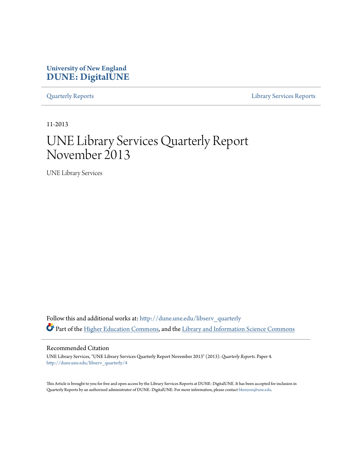# **University of New England [DUNE: DigitalUNE](http://dune.une.edu?utm_source=dune.une.edu%2Flibserv_quarterly%2F4&utm_medium=PDF&utm_campaign=PDFCoverPages)**

[Quarterly Reports](http://dune.une.edu/libserv_quarterly?utm_source=dune.une.edu%2Flibserv_quarterly%2F4&utm_medium=PDF&utm_campaign=PDFCoverPages) [Library Services Reports](http://dune.une.edu/libserv_reports?utm_source=dune.une.edu%2Flibserv_quarterly%2F4&utm_medium=PDF&utm_campaign=PDFCoverPages)

11-2013

# UNE Library Services Quarterly Report November 2013

UNE Library Services

Follow this and additional works at: [http://dune.une.edu/libserv\\_quarterly](http://dune.une.edu/libserv_quarterly?utm_source=dune.une.edu%2Flibserv_quarterly%2F4&utm_medium=PDF&utm_campaign=PDFCoverPages) Part of the [Higher Education Commons](http://network.bepress.com/hgg/discipline/1245?utm_source=dune.une.edu%2Flibserv_quarterly%2F4&utm_medium=PDF&utm_campaign=PDFCoverPages), and the [Library and Information Science Commons](http://network.bepress.com/hgg/discipline/1018?utm_source=dune.une.edu%2Flibserv_quarterly%2F4&utm_medium=PDF&utm_campaign=PDFCoverPages)

Recommended Citation

UNE Library Services, "UNE Library Services Quarterly Report November 2013" (2013). *Quarterly Reports.* Paper 4. [http://dune.une.edu/libserv\\_quarterly/4](http://dune.une.edu/libserv_quarterly/4?utm_source=dune.une.edu%2Flibserv_quarterly%2F4&utm_medium=PDF&utm_campaign=PDFCoverPages)

This Article is brought to you for free and open access by the Library Services Reports at DUNE: DigitalUNE. It has been accepted for inclusion in Quarterly Reports by an authorized administrator of DUNE: DigitalUNE. For more information, please contact [bkenyon@une.edu.](mailto:bkenyon@une.edu)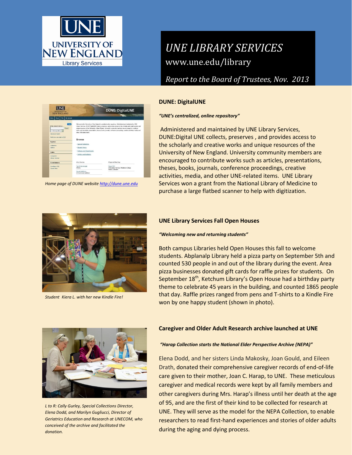

**UNE** 

Links

# *UNE LIBRARY SERVICES* www.une.edu/library

*Report to the Board of Trustees, Nov. 2013*

## **DUNE: DigitalUNE**

#### *"UNE's centralized, online repository"*

Administered and maintained by UNE Library Services, DUNE:Digital UNE collects, preserves , and provides access to the scholarly and creative works and unique resources of the University of New England. University community members are encouraged to contribute works such as articles, presentations, theses, books, journals, conference proceedings, creative activities, media, and other UNE-related items. UNE Library Services won a grant from the National Library of Medicine to purchase a large flatbed scanner to help with digitization.



*Home page of DUNE websit[e http://dune.une.edu](http://dune.une.edu/)*

**DUNE: DigitalUNE** 

*Student Kiera L. with her new Kindle Fire!*

### **UNE Library Services Fall Open Houses**

#### *"Welcoming new and returning students"*

Both campus Libraries held Open Houses this fall to welcome students. Abplanalp Library held a pizza party on September 5th and counted 530 people in and out of the library during the event. Area pizza businesses donated gift cards for raffle prizes for students. On September 18<sup>th</sup>, Ketchum Library's Open House had a birthday party theme to celebrate 45 years in the building, and counted 1865 people that day. Raffle prizes ranged from pens and T-shirts to a Kindle Fire won by one happy student (shown in photo).



*L to R: Cally Gurley, Special Collections Director, Elena Dodd, and Marilyn Gugliucci, Director of Geriatrics Education and Research at UNECOM, who conceived of the archive and facilitated the donation.*

#### **Caregiver and Older Adult Research archive launched at UNE**

#### *"Harap Collection starts the National Elder Perspective Archive (NEPA)"*

Elena Dodd, and her sisters Linda Makosky, Joan Gould, and Eileen Drath, donated their comprehensive caregiver records of end-of-life care given to their mother, Joan C. Harap, to UNE. These meticulous caregiver and medical records were kept by all family members and other caregivers during Mrs. Harap's illness until her death at the age of 95, and are the first of their kind to be collected for research at UNE. They will serve as the model for the NEPA Collection, to enable researchers to read first-hand experiences and stories of older adults during the aging and dying process.